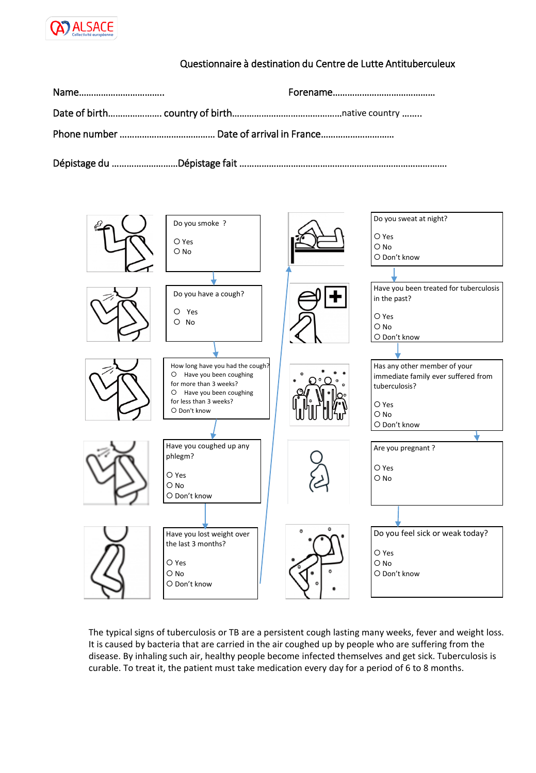

## Questionnaire à destination du Centre de Lutte Antituberculeux



The typical signs of tuberculosis or TB are a persistent cough lasting many weeks, fever and weight loss. It is caused by bacteria that are carried in the air coughed up by people who are suffering from the disease. By inhaling such air, healthy people become infected themselves and get sick. Tuberculosis is curable. To treat it, the patient must take medication every day for a period of 6 to 8 months.